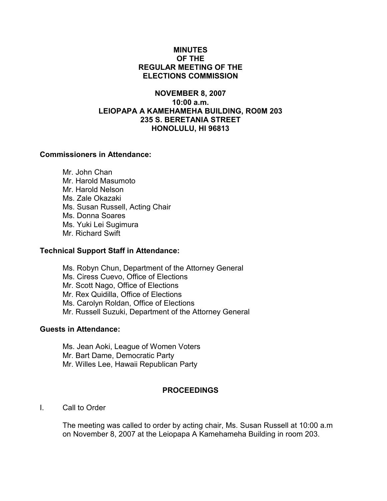### MINUTES OF THE REGULAR MEETING OF THE ELECTIONS COMMISSION

# NOVEMBER 8, 2007 10:00 a.m. LEIOPAPA A KAMEHAMEHA BUILDING, RO0M 203 235 S. BERETANIA STREET HONOLULU, HI 96813

# Commissioners in Attendance:

 Mr. John Chan Mr. Harold Masumoto Mr. Harold Nelson Ms. Zale Okazaki Ms. Susan Russell, Acting Chair Ms. Donna Soares Ms. Yuki Lei Sugimura Mr. Richard Swift

#### Technical Support Staff in Attendance:

Ms. Robyn Chun, Department of the Attorney General Ms. Ciress Cuevo, Office of Elections Mr. Scott Nago, Office of Elections Mr. Rex Quidilla, Office of Elections Ms. Carolyn Roldan, Office of Elections Mr. Russell Suzuki, Department of the Attorney General

#### Guests in Attendance:

 Ms. Jean Aoki, League of Women Voters Mr. Bart Dame, Democratic Party Mr. Willes Lee, Hawaii Republican Party

# PROCEEDINGS

I. Call to Order

The meeting was called to order by acting chair, Ms. Susan Russell at 10:00 a.m on November 8, 2007 at the Leiopapa A Kamehameha Building in room 203.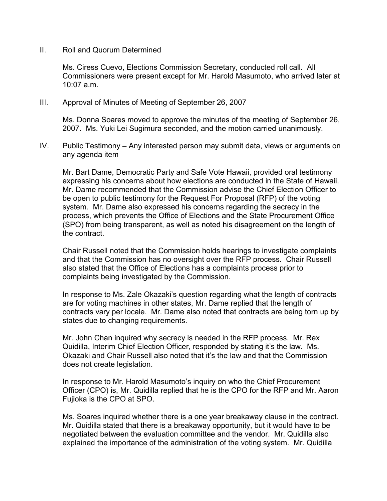II. Roll and Quorum Determined

Ms. Ciress Cuevo, Elections Commission Secretary, conducted roll call. All Commissioners were present except for Mr. Harold Masumoto, who arrived later at  $10:07$  a.m.

III. Approval of Minutes of Meeting of September 26, 2007

Ms. Donna Soares moved to approve the minutes of the meeting of September 26, 2007. Ms. Yuki Lei Sugimura seconded, and the motion carried unanimously.

IV. Public Testimony – Any interested person may submit data, views or arguments on any agenda item

Mr. Bart Dame, Democratic Party and Safe Vote Hawaii, provided oral testimony expressing his concerns about how elections are conducted in the State of Hawaii. Mr. Dame recommended that the Commission advise the Chief Election Officer to be open to public testimony for the Request For Proposal (RFP) of the voting system. Mr. Dame also expressed his concerns regarding the secrecy in the process, which prevents the Office of Elections and the State Procurement Office (SPO) from being transparent, as well as noted his disagreement on the length of the contract.

Chair Russell noted that the Commission holds hearings to investigate complaints and that the Commission has no oversight over the RFP process. Chair Russell also stated that the Office of Elections has a complaints process prior to complaints being investigated by the Commission.

In response to Ms. Zale Okazaki's question regarding what the length of contracts are for voting machines in other states, Mr. Dame replied that the length of contracts vary per locale. Mr. Dame also noted that contracts are being torn up by states due to changing requirements.

Mr. John Chan inquired why secrecy is needed in the RFP process. Mr. Rex Quidilla, Interim Chief Election Officer, responded by stating it's the law. Ms. Okazaki and Chair Russell also noted that it's the law and that the Commission does not create legislation.

In response to Mr. Harold Masumoto's inquiry on who the Chief Procurement Officer (CPO) is, Mr. Quidilla replied that he is the CPO for the RFP and Mr. Aaron Fujioka is the CPO at SPO.

Ms. Soares inquired whether there is a one year breakaway clause in the contract. Mr. Quidilla stated that there is a breakaway opportunity, but it would have to be negotiated between the evaluation committee and the vendor. Mr. Quidilla also explained the importance of the administration of the voting system. Mr. Quidilla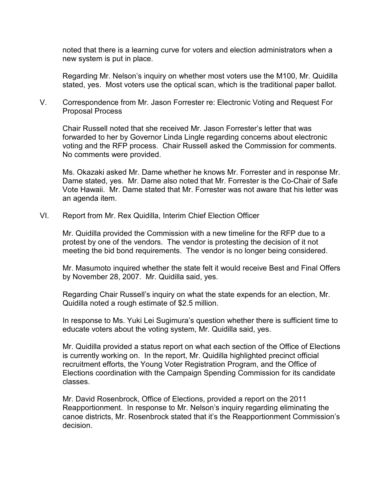noted that there is a learning curve for voters and election administrators when a new system is put in place.

Regarding Mr. Nelson's inquiry on whether most voters use the M100, Mr. Quidilla stated, yes. Most voters use the optical scan, which is the traditional paper ballot.

V. Correspondence from Mr. Jason Forrester re: Electronic Voting and Request For Proposal Process

Chair Russell noted that she received Mr. Jason Forrester's letter that was forwarded to her by Governor Linda Lingle regarding concerns about electronic voting and the RFP process. Chair Russell asked the Commission for comments. No comments were provided.

Ms. Okazaki asked Mr. Dame whether he knows Mr. Forrester and in response Mr. Dame stated, yes. Mr. Dame also noted that Mr. Forrester is the Co-Chair of Safe Vote Hawaii. Mr. Dame stated that Mr. Forrester was not aware that his letter was an agenda item.

VI. Report from Mr. Rex Quidilla, Interim Chief Election Officer

Mr. Quidilla provided the Commission with a new timeline for the RFP due to a protest by one of the vendors. The vendor is protesting the decision of it not meeting the bid bond requirements. The vendor is no longer being considered.

Mr. Masumoto inquired whether the state felt it would receive Best and Final Offers by November 28, 2007. Mr. Quidilla said, yes.

Regarding Chair Russell's inquiry on what the state expends for an election, Mr. Quidilla noted a rough estimate of \$2.5 million.

In response to Ms. Yuki Lei Sugimura's question whether there is sufficient time to educate voters about the voting system, Mr. Quidilla said, yes.

Mr. Quidilla provided a status report on what each section of the Office of Elections is currently working on. In the report, Mr. Quidilla highlighted precinct official recruitment efforts, the Young Voter Registration Program, and the Office of Elections coordination with the Campaign Spending Commission for its candidate classes.

Mr. David Rosenbrock, Office of Elections, provided a report on the 2011 Reapportionment. In response to Mr. Nelson's inquiry regarding eliminating the canoe districts, Mr. Rosenbrock stated that it's the Reapportionment Commission's decision.